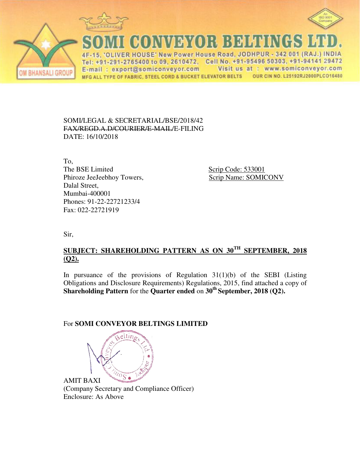





**CONVEYOR BELTINGS** 

VER HOUSE' New Power House Road, JODHPUR - 342 001 (RAJ.) INDIA  $\Delta F$ Tel: +91-291-2765400 to 09, 2610472, Cell No. +91-95496 50303, +91-94141 29472 E-mail: export@somiconveyor.com Visit us at : www.somiconveyor.com OUR CIN NO. L25192RJ2000PLCO16480 MFG ALL TYPE OF FABRIC, STEEL CORD & BUCKET ELEVATOR BELTS

### SOMI/LEGAL & SECRETARIAL/BSE/2018/42 FAX/REGD.A.D/COURIER/E-MAIL/E-FILING DATE: 16/10/2018

To, The BSE Limited Scrip Code: 533001 Phiroze JeeJeebhoy Towers, Scrip Name: SOMICONV Dalal Street, Mumbai-400001 Phones: 91-22-22721233/4 Fax: 022-22721919

Sir,

# **SUBJECT: SHAREHOLDING PATTERN AS ON 30TH SEPTEMBER, 2018 (Q2).**

In pursuance of the provisions of Regulation  $31(1)(b)$  of the SEBI (Listing Obligations and Disclosure Requirements) Regulations, 2015, find attached a copy of **Shareholding Pattern** for the **Quarter ended** on **30th September, 2018 (Q2).**

## For **SOMI CONVEYOR BELTINGS LIMITED**



 (Company Secretary and Compliance Officer) Enclosure: As Above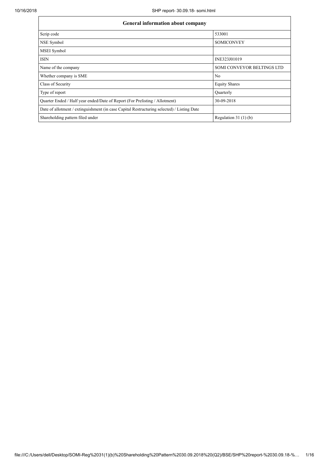| <b>General information about company</b>                                                   |                                   |  |  |  |  |  |  |
|--------------------------------------------------------------------------------------------|-----------------------------------|--|--|--|--|--|--|
| Scrip code                                                                                 | 533001                            |  |  |  |  |  |  |
| NSE Symbol                                                                                 | <b>SOMICONVEY</b>                 |  |  |  |  |  |  |
| <b>MSEI</b> Symbol                                                                         |                                   |  |  |  |  |  |  |
| <b>ISIN</b>                                                                                | INE323J01019                      |  |  |  |  |  |  |
| Name of the company                                                                        | <b>SOMI CONVEYOR BELTINGS LTD</b> |  |  |  |  |  |  |
| Whether company is SME                                                                     | N <sub>0</sub>                    |  |  |  |  |  |  |
| Class of Security                                                                          | <b>Equity Shares</b>              |  |  |  |  |  |  |
| Type of report                                                                             | Ouarterly                         |  |  |  |  |  |  |
| Quarter Ended / Half year ended/Date of Report (For Prelisting / Allotment)                | 30-09-2018                        |  |  |  |  |  |  |
| Date of allotment / extinguishment (in case Capital Restructuring selected) / Listing Date |                                   |  |  |  |  |  |  |
| Shareholding pattern filed under                                                           | Regulation $31(1)(b)$             |  |  |  |  |  |  |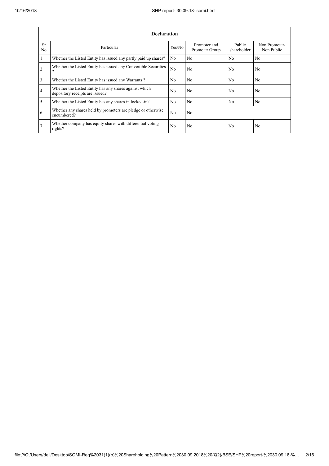٦

|                | <b>Declaration</b>                                                                        |                |                                |                       |                             |  |  |  |  |  |
|----------------|-------------------------------------------------------------------------------------------|----------------|--------------------------------|-----------------------|-----------------------------|--|--|--|--|--|
| Sr.<br>No.     | Particular                                                                                | Yes/No         | Promoter and<br>Promoter Group | Public<br>shareholder | Non Promoter-<br>Non Public |  |  |  |  |  |
| $\vert$ 1      | Whether the Listed Entity has issued any partly paid up shares?                           | N <sub>0</sub> | N <sub>0</sub>                 | No                    | N <sub>o</sub>              |  |  |  |  |  |
| $\overline{2}$ | Whether the Listed Entity has issued any Convertible Securities<br>$\gamma$               | No             | N <sub>0</sub>                 | No                    | N <sub>0</sub>              |  |  |  |  |  |
| $\overline{3}$ | Whether the Listed Entity has issued any Warrants?                                        | N <sub>0</sub> | N <sub>0</sub>                 | N <sub>0</sub>        | N <sub>0</sub>              |  |  |  |  |  |
| $\overline{4}$ | Whether the Listed Entity has any shares against which<br>depository receipts are issued? |                | N <sub>0</sub>                 | No                    | N <sub>o</sub>              |  |  |  |  |  |
| $\overline{5}$ | Whether the Listed Entity has any shares in locked-in?                                    | N <sub>0</sub> | N <sub>0</sub>                 | N <sub>0</sub>        | N <sub>0</sub>              |  |  |  |  |  |
| 6              | Whether any shares held by promoters are pledge or otherwise<br>encumbered?               | N <sub>0</sub> | N <sub>0</sub>                 |                       |                             |  |  |  |  |  |
| 7              | Whether company has equity shares with differential voting<br>rights?                     | N <sub>0</sub> | N <sub>0</sub>                 | No                    | N <sub>o</sub>              |  |  |  |  |  |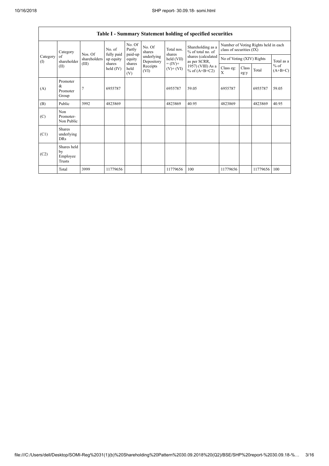|                          | <b>Table I - Summary Statement holding of specified securities</b> |                         |                                                            |                       |                                                                  |                                                                    |                                        |                                                                  |               |          |                                   |  |
|--------------------------|--------------------------------------------------------------------|-------------------------|------------------------------------------------------------|-----------------------|------------------------------------------------------------------|--------------------------------------------------------------------|----------------------------------------|------------------------------------------------------------------|---------------|----------|-----------------------------------|--|
|                          | Category<br>of<br>shareholder                                      | Nos. Of<br>shareholders | No. of<br>fully paid<br>up equity<br>shares<br>held $(IV)$ | No. Of<br>Partly      | No. Of<br>shares<br>underlying<br>Depository<br>Receipts<br>(VI) | Total nos.<br>shares<br>held (VII)<br>$= (IV) +$<br>$(V)$ + $(VI)$ | Shareholding as a<br>% of total no. of | Number of Voting Rights held in each<br>class of securities (IX) |               |          |                                   |  |
| Category<br>$($ $\Gamma$ |                                                                    |                         |                                                            | paid-up<br>equity     |                                                                  |                                                                    | shares (calculated<br>as per SCRR,     | No of Voting (XIV) Rights                                        |               |          | Total as a<br>$%$ of<br>$(A+B+C)$ |  |
|                          | (II)                                                               | (III)                   |                                                            | shares<br>held<br>(V) |                                                                  |                                                                    | 1957) (VIII) As a<br>% of $(A+B+C2)$   | Class eg:<br>X                                                   | Class<br>eg:y | Total    |                                   |  |
| (A)                      | Promoter<br>$\&$<br>Promoter<br>Group                              | $\overline{7}$          | 6955787                                                    |                       |                                                                  | 6955787                                                            | 59.05                                  | 6955787                                                          |               | 6955787  | 59.05                             |  |
| (B)                      | Public                                                             | 3992                    | 4823869                                                    |                       |                                                                  | 4823869                                                            | 40.95                                  | 4823869                                                          |               | 4823869  | 40.95                             |  |
| (C)                      | Non<br>Promoter-<br>Non Public                                     |                         |                                                            |                       |                                                                  |                                                                    |                                        |                                                                  |               |          |                                   |  |
| (C1)                     | <b>Shares</b><br>underlying<br><b>DRs</b>                          |                         |                                                            |                       |                                                                  |                                                                    |                                        |                                                                  |               |          |                                   |  |
| (C2)                     | Shares held<br>by<br>Employee<br>Trusts                            |                         |                                                            |                       |                                                                  |                                                                    |                                        |                                                                  |               |          |                                   |  |
|                          | Total                                                              | 3999                    | 11779656                                                   |                       |                                                                  | 11779656                                                           | 100                                    | 11779656                                                         |               | 11779656 | 100                               |  |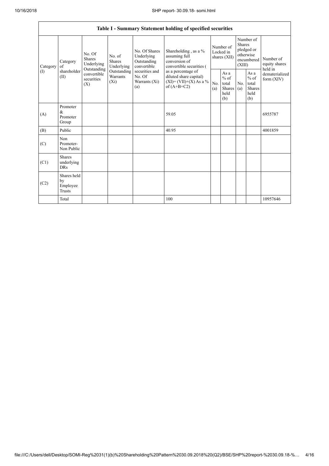|          |                                           |                                                                                          |                                       |                                                           | Table I - Summary Statement holding of specified securities                                                                                                                      |                                        |                                                  |                                                                               |                                                         |                                       |
|----------|-------------------------------------------|------------------------------------------------------------------------------------------|---------------------------------------|-----------------------------------------------------------|----------------------------------------------------------------------------------------------------------------------------------------------------------------------------------|----------------------------------------|--------------------------------------------------|-------------------------------------------------------------------------------|---------------------------------------------------------|---------------------------------------|
| Category | Category<br>of<br>shareholder<br>(II)     | No. Of<br><b>Shares</b><br>Underlying<br>Outstanding<br>convertible<br>securities<br>(X) | No. of<br><b>Shares</b><br>Underlying | No. Of Shares<br>Underlying<br>Outstanding<br>convertible | Shareholding, as a %<br>assuming full<br>conversion of<br>convertible securities (<br>as a percentage of<br>diluted share capital)<br>$(XI) = (VII)+(X) As a %$<br>of $(A+B+C2)$ | Number of<br>Locked in<br>shares (XII) |                                                  | Number of<br><b>Shares</b><br>pledged or<br>otherwise<br>encumbered<br>(XIII) |                                                         | Number of<br>equity shares<br>held in |
| (1)      |                                           |                                                                                          | Outstanding<br>Warrants<br>$(X_i)$    | securities and<br>No. Of<br>Warrants (Xi)<br>(a)          |                                                                                                                                                                                  | No.<br>(a)                             | As a<br>$%$ of<br>total<br>Shares<br>held<br>(b) | No.<br>(a)                                                                    | As a<br>$%$ of<br>total<br><b>Shares</b><br>held<br>(b) | dematerialized<br>form (XIV)          |
| (A)      | Promoter<br>&<br>Promoter<br>Group        |                                                                                          |                                       |                                                           | 59.05                                                                                                                                                                            |                                        |                                                  |                                                                               |                                                         | 6955787                               |
| (B)      | Public                                    |                                                                                          |                                       |                                                           | 40.95                                                                                                                                                                            |                                        |                                                  |                                                                               |                                                         | 4001859                               |
| (C)      | Non<br>Promoter-<br>Non Public            |                                                                                          |                                       |                                                           |                                                                                                                                                                                  |                                        |                                                  |                                                                               |                                                         |                                       |
| (C1)     | <b>Shares</b><br>underlying<br><b>DRs</b> |                                                                                          |                                       |                                                           |                                                                                                                                                                                  |                                        |                                                  |                                                                               |                                                         |                                       |
| (C2)     | Shares held<br>by<br>Employee<br>Trusts   |                                                                                          |                                       |                                                           |                                                                                                                                                                                  |                                        |                                                  |                                                                               |                                                         |                                       |
|          | Total                                     |                                                                                          |                                       |                                                           | 100                                                                                                                                                                              |                                        |                                                  |                                                                               |                                                         | 10957646                              |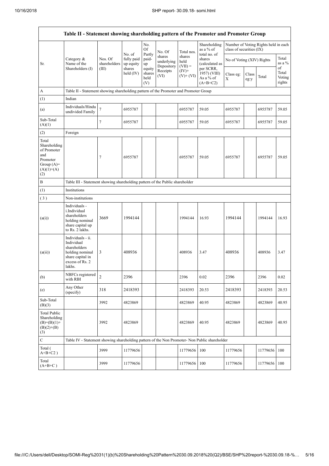$\overline{1}$ 

٦

|                                                                                                | Table II - Statement showing shareholding pattern of the Promoter and Promoter Group                                |                                                                                      |                                   |                                 |                                    |                             |                                                      |                           |               |                                      |                           |  |
|------------------------------------------------------------------------------------------------|---------------------------------------------------------------------------------------------------------------------|--------------------------------------------------------------------------------------|-----------------------------------|---------------------------------|------------------------------------|-----------------------------|------------------------------------------------------|---------------------------|---------------|--------------------------------------|---------------------------|--|
|                                                                                                |                                                                                                                     |                                                                                      |                                   | No.<br>Of                       | No. Of                             | Total nos.                  | Shareholding<br>as a % of                            | class of securities (IX)  |               | Number of Voting Rights held in each |                           |  |
| Sr.                                                                                            | Category &<br>Name of the                                                                                           | Nos. Of<br>shareholders                                                              | No. of<br>fully paid<br>up equity | Partly<br>paid-<br>up           | shares<br>underlying<br>Depository | shares<br>held<br>$(VII) =$ | total no. of<br>shares<br>(calculated as             | No of Voting (XIV) Rights |               |                                      | Total<br>as a $%$<br>of   |  |
|                                                                                                | Shareholders (I)                                                                                                    | (III)                                                                                | shares<br>held $(IV)$             | equity<br>shares<br>held<br>(V) | Receipts<br>(VI)                   | $(IV)+$<br>$(V)+(VI)$       | per SCRR,<br>1957) (VIII)<br>As a % of<br>$(A+B+C2)$ | Class eg:<br>X            | Class<br>eg:y | Total                                | Total<br>Voting<br>rights |  |
| A                                                                                              |                                                                                                                     | Table II - Statement showing shareholding pattern of the Promoter and Promoter Group |                                   |                                 |                                    |                             |                                                      |                           |               |                                      |                           |  |
| (1)                                                                                            | Indian                                                                                                              |                                                                                      |                                   |                                 |                                    |                             |                                                      |                           |               |                                      |                           |  |
| (a)                                                                                            | Individuals/Hindu<br>undivided Family                                                                               | $\overline{7}$                                                                       | 6955787                           |                                 |                                    | 6955787                     | 59.05                                                | 6955787                   |               | 6955787                              | 59.05                     |  |
| Sub-Total<br>(A)(1)                                                                            |                                                                                                                     | $\tau$                                                                               | 6955787                           |                                 |                                    | 6955787                     | 59.05                                                | 6955787                   |               | 6955787                              | 59.05                     |  |
| (2)                                                                                            | Foreign                                                                                                             |                                                                                      |                                   |                                 |                                    |                             |                                                      |                           |               |                                      |                           |  |
| Total<br>Shareholding<br>of Promoter<br>and<br>Promoter<br>Group $(A)=$<br>$(A)(1)+(A)$<br>(2) |                                                                                                                     | 7                                                                                    | 6955787                           |                                 |                                    | 6955787                     | 59.05                                                | 6955787                   |               | 6955787                              | 59.05                     |  |
| $\, {\bf B}$                                                                                   |                                                                                                                     | Table III - Statement showing shareholding pattern of the Public shareholder         |                                   |                                 |                                    |                             |                                                      |                           |               |                                      |                           |  |
| (1)                                                                                            | Institutions                                                                                                        |                                                                                      |                                   |                                 |                                    |                             |                                                      |                           |               |                                      |                           |  |
| (3)                                                                                            | Non-institutions                                                                                                    |                                                                                      |                                   |                                 |                                    |                             |                                                      |                           |               |                                      |                           |  |
| (a(i))                                                                                         | Individuals -<br>i.Individual<br>shareholders<br>holding nominal<br>share capital up<br>to Rs. 2 lakhs.             | 3669                                                                                 | 1994144                           |                                 |                                    | 1994144                     | 16.93                                                | 1994144                   |               | 1994144                              | 16.93                     |  |
| (a(ii))                                                                                        | Individuals - ii.<br>Individual<br>shareholders<br>holding nominal<br>share capital in<br>excess of Rs. 2<br>lakhs. | 3                                                                                    | 408936                            |                                 |                                    | 408936                      | 3.47                                                 | 408936                    |               | 408936                               | 3.47                      |  |
| (b)                                                                                            | NBFCs registered<br>with RBI                                                                                        | $\mathcal{D}_{\mathcal{A}}$                                                          | 2396                              |                                 |                                    | 2396                        | 0.02                                                 | 2396                      |               | 2396                                 | 0.02                      |  |
| (e)                                                                                            | Any Other<br>(specify)                                                                                              | 318                                                                                  | 2418393                           |                                 |                                    | 2418393                     | 20.53                                                | 2418393                   |               | 2418393                              | 20.53                     |  |
| Sub-Total<br>(B)(3)                                                                            |                                                                                                                     | 3992                                                                                 | 4823869                           |                                 |                                    | 4823869                     | 40.95                                                | 4823869                   |               | 4823869                              | 40.95                     |  |
| <b>Total Public</b><br>Shareholding<br>$(B)=(B)(1)+$<br>$(B)(2)+(B)$<br>(3)                    |                                                                                                                     | 3992                                                                                 | 4823869                           |                                 |                                    | 4823869                     | 40.95                                                | 4823869                   |               | 4823869                              | 40.95                     |  |
| $\mathbf C$                                                                                    | Table IV - Statement showing shareholding pattern of the Non Promoter- Non Public shareholder                       |                                                                                      |                                   |                                 |                                    |                             |                                                      |                           |               |                                      |                           |  |
| Total (<br>$A+B+C2$ )                                                                          |                                                                                                                     | 3999                                                                                 | 11779656                          |                                 |                                    | 11779656                    | 100                                                  | 11779656                  |               | 11779656                             | 100                       |  |
| Total<br>$(A+B+C)$                                                                             |                                                                                                                     | 3999                                                                                 | 11779656                          |                                 |                                    | 11779656                    | 100                                                  | 11779656                  |               | 11779656                             | 100                       |  |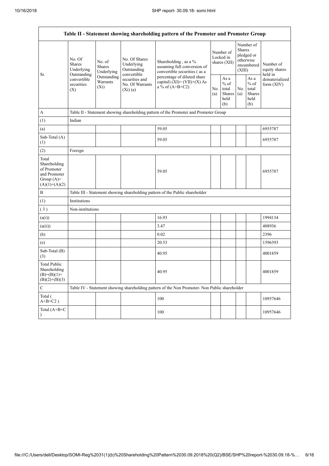| Table II - Statement showing shareholding pattern of the Promoter and Promoter Group    |                                                 |                                       |                                                           |                                                                                               |            |                                                  |            |                                                                               |                                       |  |
|-----------------------------------------------------------------------------------------|-------------------------------------------------|---------------------------------------|-----------------------------------------------------------|-----------------------------------------------------------------------------------------------|------------|--------------------------------------------------|------------|-------------------------------------------------------------------------------|---------------------------------------|--|
| Sr.                                                                                     | No. Of<br>Shares<br>Underlying                  | No. of<br><b>Shares</b><br>Underlying | No. Of Shares<br>Underlying<br>Outstanding<br>convertible | Shareholding, as a %<br>assuming full conversion of<br>convertible securities (as a           |            | Number of<br>Locked in<br>shares (XII)           |            | Number of<br><b>Shares</b><br>pledged or<br>otherwise<br>encumbered<br>(XIII) | Number of<br>equity shares<br>held in |  |
|                                                                                         | Outstanding<br>convertible<br>securities<br>(X) | Outstanding<br>Warrants<br>$(X_i)$    | securities and<br>No. Of Warrants<br>(Xi)(a)              | percentage of diluted share<br>capital) $(XI) = (VII)+(X) As$<br>a % of $(A+B+C2)$            | No.<br>(a) | As a<br>$%$ of<br>total<br>Shares<br>held<br>(b) | No.<br>(a) | As a<br>$%$ of<br>total<br><b>Shares</b><br>held<br>(b)                       | dematerialized<br>form (XIV)          |  |
| A                                                                                       |                                                 |                                       |                                                           | Table II - Statement showing shareholding pattern of the Promoter and Promoter Group          |            |                                                  |            |                                                                               |                                       |  |
| (1)                                                                                     | Indian                                          |                                       |                                                           |                                                                                               |            |                                                  |            |                                                                               |                                       |  |
| (a)                                                                                     |                                                 |                                       |                                                           | 59.05                                                                                         |            |                                                  |            |                                                                               | 6955787                               |  |
| Sub-Total (A)<br>(1)                                                                    |                                                 |                                       |                                                           | 59.05                                                                                         |            |                                                  |            |                                                                               | 6955787                               |  |
| (2)                                                                                     | Foreign                                         |                                       |                                                           |                                                                                               |            |                                                  |            |                                                                               |                                       |  |
| Total<br>Shareholding<br>of Promoter<br>and Promoter<br>Group $(A)=$<br>$(A)(1)+(A)(2)$ |                                                 |                                       |                                                           | 59.05                                                                                         |            |                                                  |            |                                                                               | 6955787                               |  |
| B                                                                                       |                                                 |                                       |                                                           | Table III - Statement showing shareholding pattern of the Public shareholder                  |            |                                                  |            |                                                                               |                                       |  |
| (1)                                                                                     | Institutions                                    |                                       |                                                           |                                                                                               |            |                                                  |            |                                                                               |                                       |  |
| (3)                                                                                     | Non-institutions                                |                                       |                                                           |                                                                                               |            |                                                  |            |                                                                               |                                       |  |
| (a(i))                                                                                  |                                                 |                                       |                                                           | 16.93                                                                                         |            |                                                  |            |                                                                               | 1994134                               |  |
| (a(ii))                                                                                 |                                                 |                                       |                                                           | 3.47                                                                                          |            |                                                  |            |                                                                               | 408936                                |  |
| (b)                                                                                     |                                                 |                                       |                                                           | 0.02                                                                                          |            |                                                  |            |                                                                               | 2396                                  |  |
| (e)                                                                                     |                                                 |                                       |                                                           | 20.53                                                                                         |            |                                                  |            |                                                                               | 1596393                               |  |
| Sub-Total (B)<br>(3)                                                                    |                                                 |                                       |                                                           | 40.95                                                                                         |            |                                                  |            |                                                                               | 4001859                               |  |
| <b>Total Public</b><br>Shareholding<br>$(B)= (B)(1) +$<br>$(B)(2)+(B)(3)$               |                                                 |                                       |                                                           | 40.95                                                                                         |            |                                                  |            |                                                                               | 4001859                               |  |
| C                                                                                       |                                                 |                                       |                                                           | Table IV - Statement showing shareholding pattern of the Non Promoter- Non Public shareholder |            |                                                  |            |                                                                               |                                       |  |
| Total (<br>$A+B+C2$ )                                                                   |                                                 |                                       |                                                           | 100                                                                                           |            |                                                  |            |                                                                               | 10957646                              |  |
| Total (A+B+C<br>$\mathcal{E}$                                                           |                                                 |                                       |                                                           | 100                                                                                           |            |                                                  |            |                                                                               | 10957646                              |  |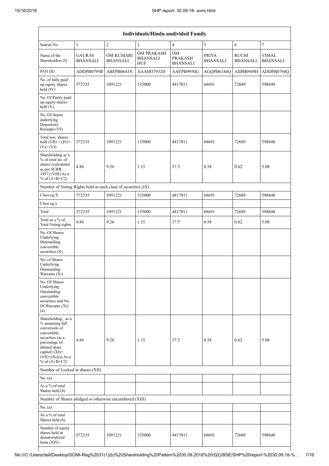| Individuals/Hindu undivided Family                                                                                                                                                       |                                  |                                     |                                                    |                                         |                                 |                                 |                                 |  |  |  |
|------------------------------------------------------------------------------------------------------------------------------------------------------------------------------------------|----------------------------------|-------------------------------------|----------------------------------------------------|-----------------------------------------|---------------------------------|---------------------------------|---------------------------------|--|--|--|
| Searial No.                                                                                                                                                                              | $\mathbf{1}$                     | $\overline{2}$                      | 3                                                  | $\overline{4}$                          | 5                               | 6                               | $\tau$                          |  |  |  |
| Name of the<br>Shareholders (I)                                                                                                                                                          | <b>GAURAV</b><br><b>BHANSALI</b> | <b>OM KUMARI</b><br><b>BHANSALI</b> | <b>OM PRAKASH</b><br><b>BHANSALI</b><br><b>HUF</b> | OM<br><b>PRAKASH</b><br><b>BHANSALI</b> | <b>PRIYA</b><br><b>BHANSALI</b> | <b>RUCHI</b><br><b>BHANSALI</b> | <b>VIMAL</b><br><b>BHANSALI</b> |  |  |  |
| PAN(II)                                                                                                                                                                                  | ADDPB0795R                       | ABFPB0643N                          | AAAHO7932H                                         | AAYPB9950G                              | AGQPB6184Q                      | AIIPB0949H                      | ADDPB0794Q                      |  |  |  |
| No. of fully paid<br>up equity shares<br>$held$ (IV)                                                                                                                                     | 572335                           | 1091221                             | 135000                                             | 4417011                                 | 68691                           | 72689                           | 598840                          |  |  |  |
| No. Of Partly paid-<br>up equity shares<br>held (V)                                                                                                                                      |                                  |                                     |                                                    |                                         |                                 |                                 |                                 |  |  |  |
| No. Of shares<br>underlying<br>Depository<br>Receipts (VI)                                                                                                                               |                                  |                                     |                                                    |                                         |                                 |                                 |                                 |  |  |  |
| Total nos, shares<br>held $(VII) = (IV) +$<br>$(V)$ + $(VI)$                                                                                                                             | 572335                           | 1091221                             | 135000                                             | 4417011                                 | 68691                           | 72689                           | 598840                          |  |  |  |
| Shareholding as a<br>% of total no. of<br>shares (calculated<br>as per SCRR,<br>1957) (VIII) As a<br>% of $(A+B+C2)$                                                                     | 4.86                             | 9.26                                | 1.15                                               | 37.5                                    | 0.58                            | 0.62                            | 5.08                            |  |  |  |
| Number of Voting Rights held in each class of securities (IX)                                                                                                                            |                                  |                                     |                                                    |                                         |                                 |                                 |                                 |  |  |  |
| Class eg:X                                                                                                                                                                               | 572335                           | 1091221                             | 135000                                             | 4417011                                 | 68691                           | 72689                           | 598840                          |  |  |  |
| Class eg:y                                                                                                                                                                               |                                  |                                     |                                                    |                                         |                                 |                                 |                                 |  |  |  |
| Total                                                                                                                                                                                    | 572335                           | 1091221                             | 135000                                             | 4417011                                 | 68691                           | 72689                           | 598840                          |  |  |  |
| Total as a % of<br><b>Total Voting rights</b>                                                                                                                                            | 4.86                             | 9.26                                | 1.15                                               | 37.5                                    | 0.58                            | 0.62                            | 5.08                            |  |  |  |
| No. Of Shares<br>Underlying<br>Outstanding<br>convertible<br>securities $(X)$                                                                                                            |                                  |                                     |                                                    |                                         |                                 |                                 |                                 |  |  |  |
| No. of Shares<br>Underlying<br>Outstanding<br>Warrants (Xi)                                                                                                                              |                                  |                                     |                                                    |                                         |                                 |                                 |                                 |  |  |  |
| No. Of Shares<br>Underlying<br>Outstanding<br>convertible<br>securities and No.<br>Of Warrants (Xi)<br>(a)                                                                               |                                  |                                     |                                                    |                                         |                                 |                                 |                                 |  |  |  |
| Shareholding, as a<br>% assuming full<br>conversion of<br>convertible<br>securities (as a<br>percentage of<br>diluted share<br>capital) (XI)=<br>$(VII)+(Xi)(a)$ As a<br>% of $(A+B+C2)$ | 4.86                             | 9.26                                | 1.15                                               | 37.5                                    | 0.58                            | 0.62                            | 5.08                            |  |  |  |
| Number of Locked in shares (XII)                                                                                                                                                         |                                  |                                     |                                                    |                                         |                                 |                                 |                                 |  |  |  |
| No. (a)                                                                                                                                                                                  |                                  |                                     |                                                    |                                         |                                 |                                 |                                 |  |  |  |
| As a % of total<br>Shares held (b)                                                                                                                                                       |                                  |                                     |                                                    |                                         |                                 |                                 |                                 |  |  |  |
| Number of Shares pledged or otherwise encumbered (XIII)                                                                                                                                  |                                  |                                     |                                                    |                                         |                                 |                                 |                                 |  |  |  |
| No. (a)                                                                                                                                                                                  |                                  |                                     |                                                    |                                         |                                 |                                 |                                 |  |  |  |
| As a % of total<br>Shares held (b)                                                                                                                                                       |                                  |                                     |                                                    |                                         |                                 |                                 |                                 |  |  |  |
| Number of equity<br>shares held in<br>dematerialized<br>form (XIV)                                                                                                                       | 572335                           | 1091221                             | 135000                                             | 4417011                                 | 68691                           | 72689                           | 598840                          |  |  |  |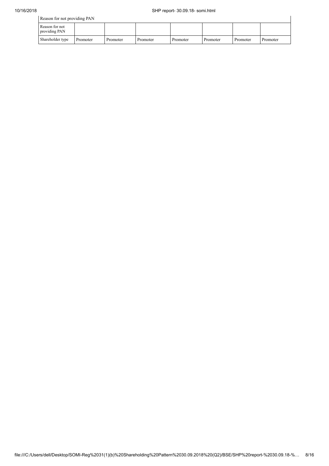| Reason for not providing PAN    |          |          |          |          |          |          |          |  |  |
|---------------------------------|----------|----------|----------|----------|----------|----------|----------|--|--|
| Reason for not<br>providing PAN |          |          |          |          |          |          |          |  |  |
| Shareholder type                | Promoter | Promoter | Promoter | Promoter | Promoter | Promoter | Promoter |  |  |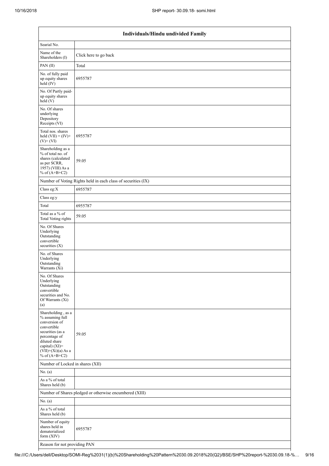| Individuals/Hindu undivided Family                                                                                                                                                       |                                                               |  |  |  |  |  |  |  |
|------------------------------------------------------------------------------------------------------------------------------------------------------------------------------------------|---------------------------------------------------------------|--|--|--|--|--|--|--|
| Searial No.                                                                                                                                                                              |                                                               |  |  |  |  |  |  |  |
| Name of the<br>Shareholders (I)                                                                                                                                                          | Click here to go back                                         |  |  |  |  |  |  |  |
| PAN(II)                                                                                                                                                                                  | Total                                                         |  |  |  |  |  |  |  |
| No. of fully paid<br>up equity shares<br>held (IV)                                                                                                                                       | 6955787                                                       |  |  |  |  |  |  |  |
| No. Of Partly paid-<br>up equity shares<br>held (V)                                                                                                                                      |                                                               |  |  |  |  |  |  |  |
| No. Of shares<br>underlying<br>Depository<br>Receipts (VI)                                                                                                                               |                                                               |  |  |  |  |  |  |  |
| Total nos. shares<br>held $(VII) = (IV) +$<br>$(V)+(VI)$                                                                                                                                 | 6955787                                                       |  |  |  |  |  |  |  |
| Shareholding as a<br>% of total no. of<br>shares (calculated<br>as per SCRR,<br>1957) (VIII) As a<br>% of $(A+B+C2)$                                                                     | 59.05                                                         |  |  |  |  |  |  |  |
|                                                                                                                                                                                          | Number of Voting Rights held in each class of securities (IX) |  |  |  |  |  |  |  |
| Class eg:X                                                                                                                                                                               | 6955787                                                       |  |  |  |  |  |  |  |
| Class eg:y                                                                                                                                                                               |                                                               |  |  |  |  |  |  |  |
| Total                                                                                                                                                                                    | 6955787                                                       |  |  |  |  |  |  |  |
| Total as a % of<br>Total Voting rights                                                                                                                                                   | 59.05                                                         |  |  |  |  |  |  |  |
| No. Of Shares<br>Underlying<br>Outstanding<br>convertible<br>securities (X)                                                                                                              |                                                               |  |  |  |  |  |  |  |
| No. of Shares<br>Underlying<br>Outstanding<br>Warrants (Xi)                                                                                                                              |                                                               |  |  |  |  |  |  |  |
| No. Of Shares<br>Underlying<br>Outstanding<br>convertible<br>securities and No.<br>Of Warrants (Xi)<br>(a)                                                                               |                                                               |  |  |  |  |  |  |  |
| Shareholding, as a<br>% assuming full<br>conversion of<br>convertible<br>securities (as a<br>percentage of<br>diluted share<br>capital) (XI)=<br>$(VII)+(Xi)(a)$ As a<br>% of $(A+B+C2)$ | 59.05                                                         |  |  |  |  |  |  |  |
| Number of Locked in shares (XII)                                                                                                                                                         |                                                               |  |  |  |  |  |  |  |
| No. (a)                                                                                                                                                                                  |                                                               |  |  |  |  |  |  |  |
| As a % of total<br>Shares held (b)                                                                                                                                                       |                                                               |  |  |  |  |  |  |  |
|                                                                                                                                                                                          | Number of Shares pledged or otherwise encumbered (XIII)       |  |  |  |  |  |  |  |
| No. (a)                                                                                                                                                                                  |                                                               |  |  |  |  |  |  |  |
| As a % of total<br>Shares held (b)                                                                                                                                                       |                                                               |  |  |  |  |  |  |  |
| Number of equity<br>shares held in<br>dematerialized<br>form (XIV)                                                                                                                       | 6955787                                                       |  |  |  |  |  |  |  |
| Reason for not providing PAN                                                                                                                                                             |                                                               |  |  |  |  |  |  |  |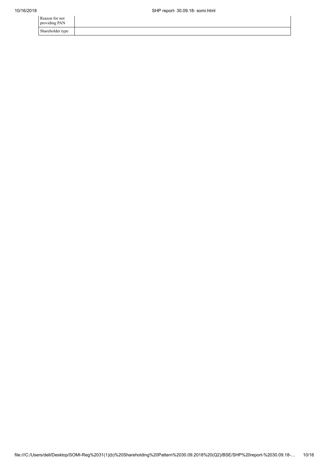| Reason for not<br>providing PAN |  |
|---------------------------------|--|
| Shareholder type                |  |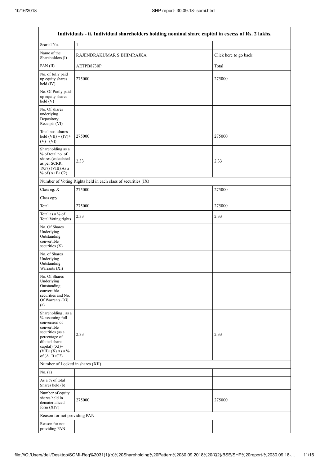$\mathbf{r}$ 

٦

|                                                                                                                                                                                         | Individuals - ii. Individual shareholders holding nominal share capital in excess of Rs. 2 lakhs. |                       |  |  |  |  |  |  |  |
|-----------------------------------------------------------------------------------------------------------------------------------------------------------------------------------------|---------------------------------------------------------------------------------------------------|-----------------------|--|--|--|--|--|--|--|
| Searial No.                                                                                                                                                                             | 1                                                                                                 |                       |  |  |  |  |  |  |  |
| Name of the<br>Shareholders (I)                                                                                                                                                         | RAJENDRAKUMAR S BHIMRAJKA                                                                         | Click here to go back |  |  |  |  |  |  |  |
| PAN(II)                                                                                                                                                                                 | AETPB8730P                                                                                        | Total                 |  |  |  |  |  |  |  |
| No. of fully paid<br>up equity shares<br>held (IV)                                                                                                                                      | 275000                                                                                            | 275000                |  |  |  |  |  |  |  |
| No. Of Partly paid-<br>up equity shares<br>held (V)                                                                                                                                     |                                                                                                   |                       |  |  |  |  |  |  |  |
| No. Of shares<br>underlying<br>Depository<br>Receipts (VI)                                                                                                                              |                                                                                                   |                       |  |  |  |  |  |  |  |
| Total nos. shares<br>held $(VII) = (IV) +$<br>$(V)$ + $(VI)$                                                                                                                            | 275000                                                                                            | 275000                |  |  |  |  |  |  |  |
| Shareholding as a<br>% of total no. of<br>shares (calculated<br>as per SCRR,<br>1957) (VIII) As a<br>% of $(A+B+C2)$                                                                    | 2.33                                                                                              | 2.33                  |  |  |  |  |  |  |  |
|                                                                                                                                                                                         | Number of Voting Rights held in each class of securities (IX)                                     |                       |  |  |  |  |  |  |  |
| Class eg: X                                                                                                                                                                             | 275000                                                                                            | 275000                |  |  |  |  |  |  |  |
| Class eg:y                                                                                                                                                                              |                                                                                                   |                       |  |  |  |  |  |  |  |
| Total                                                                                                                                                                                   | 275000                                                                                            | 275000                |  |  |  |  |  |  |  |
| Total as a % of<br><b>Total Voting rights</b>                                                                                                                                           | 2.33                                                                                              | 2.33                  |  |  |  |  |  |  |  |
| No. Of Shares<br>Underlying<br>Outstanding<br>convertible<br>securities $(X)$                                                                                                           |                                                                                                   |                       |  |  |  |  |  |  |  |
| No. of Shares<br>Underlying<br>Outstanding<br>Warrants (Xi)                                                                                                                             |                                                                                                   |                       |  |  |  |  |  |  |  |
| No. Of Shares<br>Underlying<br>Outstanding<br>convertible<br>securities and No.<br>Of Warrants (Xi)<br>(a)                                                                              |                                                                                                   |                       |  |  |  |  |  |  |  |
| Shareholding, as a<br>% assuming full<br>conversion of<br>convertible<br>securities (as a<br>percentage of<br>diluted share<br>capital) $(XI)$ =<br>$(VII)+(X)$ As a %<br>of $(A+B+C2)$ | 2.33                                                                                              | 2.33                  |  |  |  |  |  |  |  |
| Number of Locked in shares (XII)                                                                                                                                                        |                                                                                                   |                       |  |  |  |  |  |  |  |
| No. (a)                                                                                                                                                                                 |                                                                                                   |                       |  |  |  |  |  |  |  |
| As a % of total<br>Shares held (b)                                                                                                                                                      |                                                                                                   |                       |  |  |  |  |  |  |  |
| Number of equity<br>shares held in<br>dematerialized<br>form (XIV)                                                                                                                      | 275000                                                                                            | 275000                |  |  |  |  |  |  |  |
| Reason for not providing PAN                                                                                                                                                            |                                                                                                   |                       |  |  |  |  |  |  |  |
| Reason for not<br>providing PAN                                                                                                                                                         |                                                                                                   |                       |  |  |  |  |  |  |  |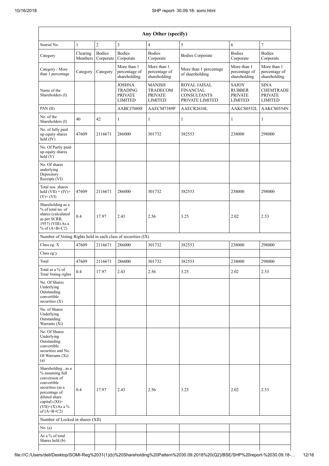| Any Other (specify)                                                                                                                                                                     |                     |                            |                                                              |                                                                      |                                                                           |                                                                   |                                                                     |  |  |  |
|-----------------------------------------------------------------------------------------------------------------------------------------------------------------------------------------|---------------------|----------------------------|--------------------------------------------------------------|----------------------------------------------------------------------|---------------------------------------------------------------------------|-------------------------------------------------------------------|---------------------------------------------------------------------|--|--|--|
| Searial No.                                                                                                                                                                             | $\mathbf{1}$        | $\overline{2}$             | 3                                                            | $\overline{4}$                                                       | 5                                                                         | 6                                                                 | $\overline{7}$                                                      |  |  |  |
| Category                                                                                                                                                                                | Clearing<br>Members | <b>Bodies</b><br>Corporate | <b>Bodies</b><br>Corporate                                   | <b>Bodies</b><br>Corporate                                           | <b>Bodies Corporate</b>                                                   | <b>Bodies</b><br>Corporate                                        | <b>Bodies</b><br>Corporate                                          |  |  |  |
| Category / More<br>than 1 percentage                                                                                                                                                    | Category            | Category                   | More than 1<br>percentage of<br>shareholding                 | More than 1<br>percentage of<br>shareholding                         | More than 1 percentage<br>of shareholding                                 | More than 1<br>percentage of<br>shareholding                      | More than 1<br>percentage of<br>shareholding                        |  |  |  |
| Name of the<br>Shareholders (I)                                                                                                                                                         |                     |                            | JOSHNA<br><b>TRADING</b><br><b>PRIVATE</b><br><b>LIMITED</b> | <b>MANISH</b><br><b>TRADECOM</b><br><b>PRIVATE</b><br><b>LIMITED</b> | ROYAL JAISAL<br><b>FINANCIAL</b><br><b>CONSULTANTS</b><br>PRIVATE LIMITED | <b>SAJOY</b><br><b>RUBBER</b><br><b>PRIVATE</b><br><b>LIMITED</b> | <b>SINA</b><br><b>CHEMTRADE</b><br><b>PRIVATE</b><br><b>LIMITED</b> |  |  |  |
| PAN(II)                                                                                                                                                                                 |                     |                            | AABCJ7088F                                                   | AAECM7389P                                                           | AAECR2634L                                                                | AAKCS0552L                                                        | AAKCS0554N                                                          |  |  |  |
| No. of the<br>Shareholders (I)                                                                                                                                                          | 40                  | 42                         | 1                                                            | 1                                                                    | 1                                                                         | 1                                                                 | 1                                                                   |  |  |  |
| No. of fully paid<br>up equity shares<br>held (IV)                                                                                                                                      | 47609               | 2116671                    | 286000                                                       | 301732                                                               | 382553                                                                    | 238000                                                            | 298000                                                              |  |  |  |
| No. Of Partly paid-<br>up equity shares<br>held (V)                                                                                                                                     |                     |                            |                                                              |                                                                      |                                                                           |                                                                   |                                                                     |  |  |  |
| No. Of shares<br>underlying<br>Depository<br>Receipts (VI)                                                                                                                              |                     |                            |                                                              |                                                                      |                                                                           |                                                                   |                                                                     |  |  |  |
| Total nos. shares<br>held $(VII) = (IV) +$<br>$(V)$ + $(VI)$                                                                                                                            | 47609               | 2116671                    | 286000                                                       | 301732                                                               | 382553                                                                    | 238000                                                            | 298000                                                              |  |  |  |
| Shareholding as a<br>% of total no. of<br>shares (calculated<br>as per SCRR,<br>1957) (VIII) As a<br>% of $(A+B+C2)$                                                                    | 0.4                 | 17.97                      | 2.43                                                         | 2.56                                                                 | 3.25                                                                      | 2.02                                                              | 2.53                                                                |  |  |  |
| Number of Voting Rights held in each class of securities (IX)                                                                                                                           |                     |                            |                                                              |                                                                      |                                                                           |                                                                   |                                                                     |  |  |  |
| Class eg: X                                                                                                                                                                             | 47609               | 2116671                    | 286000                                                       | 301732                                                               | 382553                                                                    | 238000                                                            | 298000                                                              |  |  |  |
| Class eg:y                                                                                                                                                                              |                     |                            |                                                              |                                                                      |                                                                           |                                                                   |                                                                     |  |  |  |
| Total                                                                                                                                                                                   | 47609               | 2116671                    | 286000                                                       | 301732                                                               | 382553                                                                    | 238000                                                            | 298000                                                              |  |  |  |
| Total as a % of<br><b>Total Voting rights</b>                                                                                                                                           | 0.4                 | 17.97                      | 2.43                                                         | 2.56                                                                 | 3.25                                                                      | 2.02                                                              | 2.53                                                                |  |  |  |
| No. Of Shares<br>Underlying<br>Outstanding<br>convertible<br>securities (X)                                                                                                             |                     |                            |                                                              |                                                                      |                                                                           |                                                                   |                                                                     |  |  |  |
| No. of Shares<br>Underlying<br>Outstanding<br>Warrants (Xi)                                                                                                                             |                     |                            |                                                              |                                                                      |                                                                           |                                                                   |                                                                     |  |  |  |
| No. Of Shares<br>Underlying<br>Outstanding<br>convertible<br>securities and No.<br>Of Warrants (Xi)<br>(a)                                                                              |                     |                            |                                                              |                                                                      |                                                                           |                                                                   |                                                                     |  |  |  |
| Shareholding, as a<br>% assuming full<br>conversion of<br>convertible<br>securities (as a<br>percentage of<br>diluted share<br>capital) $(XI)$ =<br>$(VII)+(X)$ As a %<br>of $(A+B+C2)$ | 0.4                 | 17.97                      | 2.43                                                         | 2.56                                                                 | 3.25                                                                      | 2.02                                                              | 2.53                                                                |  |  |  |
| Number of Locked in shares (XII)                                                                                                                                                        |                     |                            |                                                              |                                                                      |                                                                           |                                                                   |                                                                     |  |  |  |
| No. $(a)$                                                                                                                                                                               |                     |                            |                                                              |                                                                      |                                                                           |                                                                   |                                                                     |  |  |  |
| As a % of total<br>Shares held (b)                                                                                                                                                      |                     |                            |                                                              |                                                                      |                                                                           |                                                                   |                                                                     |  |  |  |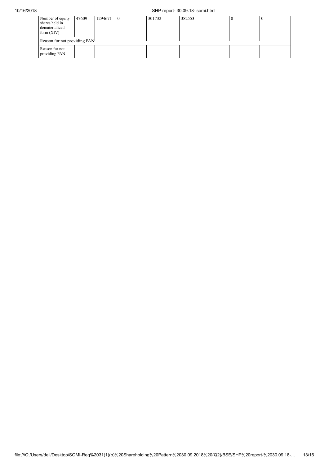#### 10/16/2018 SHP report- 30.09.18- somi.html

| Number of equity<br>shares held in<br>dematerialized<br>form $(XIV)$ | 47609 | 1294671 | $\overline{0}$ | 301732 | 382553 |  | ν |
|----------------------------------------------------------------------|-------|---------|----------------|--------|--------|--|---|
| Reason for not providing PAN-                                        |       |         |                |        |        |  |   |
| Reason for not<br>providing PAN                                      |       |         |                |        |        |  |   |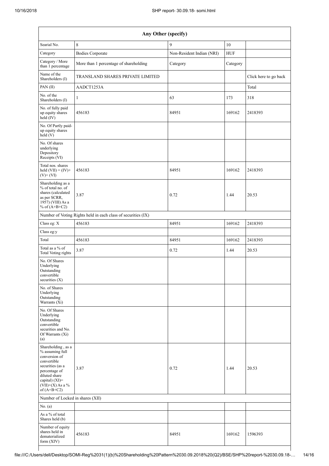| Any Other (specify)                                                                                                                                                                  |                                                               |                           |            |                       |  |  |  |
|--------------------------------------------------------------------------------------------------------------------------------------------------------------------------------------|---------------------------------------------------------------|---------------------------|------------|-----------------------|--|--|--|
| Searial No.                                                                                                                                                                          | $\,8\,$                                                       | 9                         | $10\,$     |                       |  |  |  |
| Category                                                                                                                                                                             | <b>Bodies Corporate</b>                                       | Non-Resident Indian (NRI) | <b>HUF</b> |                       |  |  |  |
| Category / More<br>than 1 percentage                                                                                                                                                 | More than 1 percentage of shareholding                        | Category                  | Category   |                       |  |  |  |
| Name of the<br>Shareholders (I)                                                                                                                                                      | TRANSLAND SHARES PRIVATE LIMITED                              |                           |            | Click here to go back |  |  |  |
| PAN(II)                                                                                                                                                                              | AADCT1253A                                                    |                           |            | Total                 |  |  |  |
| No. of the<br>Shareholders (I)                                                                                                                                                       | 1                                                             | 63                        | 173        | 318                   |  |  |  |
| No. of fully paid<br>up equity shares<br>$\text{held} (IV)$                                                                                                                          | 456183                                                        | 84951                     | 169162     | 2418393               |  |  |  |
| No. Of Partly paid-<br>up equity shares<br>held (V)                                                                                                                                  |                                                               |                           |            |                       |  |  |  |
| No. Of shares<br>underlying<br>Depository<br>Receipts (VI)                                                                                                                           |                                                               |                           |            |                       |  |  |  |
| Total nos. shares<br>held $(VII) = (IV) +$<br>$(V)+(VI)$                                                                                                                             | 456183                                                        | 84951                     | 169162     | 2418393               |  |  |  |
| Shareholding as a<br>% of total no. of<br>shares (calculated<br>as per SCRR,<br>1957) (VIII) As a<br>% of $(A+B+C2)$                                                                 | 3.87                                                          | 0.72                      | 1.44       | 20.53                 |  |  |  |
|                                                                                                                                                                                      | Number of Voting Rights held in each class of securities (IX) |                           |            |                       |  |  |  |
| Class eg: X                                                                                                                                                                          | 456183                                                        | 84951                     | 169162     | 2418393               |  |  |  |
| Class eg:y                                                                                                                                                                           |                                                               |                           |            |                       |  |  |  |
| Total                                                                                                                                                                                | 456183                                                        | 84951                     | 169162     | 2418393               |  |  |  |
| Total as a % of<br><b>Total Voting rights</b>                                                                                                                                        | 3.87                                                          | 0.72                      | 1.44       | 20.53                 |  |  |  |
| No. Of Shares<br>Underlying<br>Outstanding<br>convertible<br>securities $(X)$                                                                                                        |                                                               |                           |            |                       |  |  |  |
| No. of Shares<br>Underlying<br>Outstanding<br>Warrants (Xi)                                                                                                                          |                                                               |                           |            |                       |  |  |  |
| No. Of Shares<br>Underlying<br>Outstanding<br>convertible<br>securities and No.<br>Of Warrants (Xi)<br>(a)                                                                           |                                                               |                           |            |                       |  |  |  |
| Shareholding, as a<br>% assuming full<br>conversion of<br>convertible<br>securities (as a<br>percentage of<br>diluted share<br>capital) (XI)=<br>$(VII)+(X)$ As a %<br>of $(A+B+C2)$ | 3.87                                                          | 0.72                      | 1.44       | 20.53                 |  |  |  |
| Number of Locked in shares (XII)                                                                                                                                                     |                                                               |                           |            |                       |  |  |  |
| No. (a)                                                                                                                                                                              |                                                               |                           |            |                       |  |  |  |
| As a % of total<br>Shares held (b)                                                                                                                                                   |                                                               |                           |            |                       |  |  |  |
| Number of equity<br>shares held in<br>dematerialized<br>form (XIV)                                                                                                                   | 456183                                                        | 84951                     | 169162     | 1596393               |  |  |  |